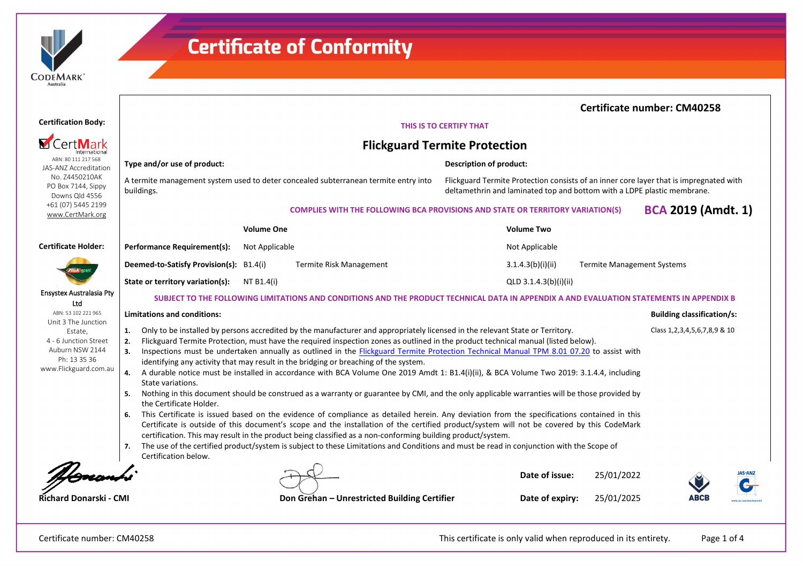

 $\mathsf{L}$ 

## **Certificate of Conformity**

|                                                                                                                                            |                                                                                                                                                                                                                                                                                                                                                                                                                                                                                                                                                                                                                                                                                                                                                                                                                                                                                                                                                                                                                                                                                                                                                                                                                                                                                                                                                                                                                                                                                                                      |                   |                                                                                       |                                                                                                                                                                   |                       |                                   | <b>Certificate number: CM40258</b> |                |  |
|--------------------------------------------------------------------------------------------------------------------------------------------|----------------------------------------------------------------------------------------------------------------------------------------------------------------------------------------------------------------------------------------------------------------------------------------------------------------------------------------------------------------------------------------------------------------------------------------------------------------------------------------------------------------------------------------------------------------------------------------------------------------------------------------------------------------------------------------------------------------------------------------------------------------------------------------------------------------------------------------------------------------------------------------------------------------------------------------------------------------------------------------------------------------------------------------------------------------------------------------------------------------------------------------------------------------------------------------------------------------------------------------------------------------------------------------------------------------------------------------------------------------------------------------------------------------------------------------------------------------------------------------------------------------------|-------------------|---------------------------------------------------------------------------------------|-------------------------------------------------------------------------------------------------------------------------------------------------------------------|-----------------------|-----------------------------------|------------------------------------|----------------|--|
| <b>Certification Body:</b>                                                                                                                 |                                                                                                                                                                                                                                                                                                                                                                                                                                                                                                                                                                                                                                                                                                                                                                                                                                                                                                                                                                                                                                                                                                                                                                                                                                                                                                                                                                                                                                                                                                                      |                   |                                                                                       | THIS IS TO CERTIFY THAT                                                                                                                                           |                       |                                   |                                    |                |  |
| CertMar                                                                                                                                    |                                                                                                                                                                                                                                                                                                                                                                                                                                                                                                                                                                                                                                                                                                                                                                                                                                                                                                                                                                                                                                                                                                                                                                                                                                                                                                                                                                                                                                                                                                                      |                   | <b>Flickguard Termite Protection</b>                                                  |                                                                                                                                                                   |                       |                                   |                                    |                |  |
| ABN: 80 111 217 568<br>JAS-ANZ Accreditation                                                                                               | Type and/or use of product:                                                                                                                                                                                                                                                                                                                                                                                                                                                                                                                                                                                                                                                                                                                                                                                                                                                                                                                                                                                                                                                                                                                                                                                                                                                                                                                                                                                                                                                                                          |                   |                                                                                       | <b>Description of product:</b>                                                                                                                                    |                       |                                   |                                    |                |  |
| No. Z4450210AK<br>PO Box 7144, Sippy<br>Downs Qld 4556                                                                                     | A termite management system used to deter concealed subterranean termite entry into<br>buildings.                                                                                                                                                                                                                                                                                                                                                                                                                                                                                                                                                                                                                                                                                                                                                                                                                                                                                                                                                                                                                                                                                                                                                                                                                                                                                                                                                                                                                    |                   |                                                                                       | Flickguard Termite Protection consists of an inner core layer that is impregnated with<br>deltamethrin and laminated top and bottom with a LDPE plastic membrane. |                       |                                   |                                    |                |  |
| +61 (07) 5445 2199<br>www.CertMark.org                                                                                                     |                                                                                                                                                                                                                                                                                                                                                                                                                                                                                                                                                                                                                                                                                                                                                                                                                                                                                                                                                                                                                                                                                                                                                                                                                                                                                                                                                                                                                                                                                                                      |                   | <b>COMPLIES WITH THE FOLLOWING BCA PROVISIONS AND STATE OR TERRITORY VARIATION(S)</b> |                                                                                                                                                                   |                       |                                   | <b>BCA 2019 (Amdt. 1)</b>          |                |  |
|                                                                                                                                            |                                                                                                                                                                                                                                                                                                                                                                                                                                                                                                                                                                                                                                                                                                                                                                                                                                                                                                                                                                                                                                                                                                                                                                                                                                                                                                                                                                                                                                                                                                                      | <b>Volume One</b> |                                                                                       |                                                                                                                                                                   | <b>Volume Two</b>     |                                   |                                    |                |  |
| <b>Certificate Holder:</b>                                                                                                                 | Performance Requirement(s):                                                                                                                                                                                                                                                                                                                                                                                                                                                                                                                                                                                                                                                                                                                                                                                                                                                                                                                                                                                                                                                                                                                                                                                                                                                                                                                                                                                                                                                                                          | Not Applicable    |                                                                                       |                                                                                                                                                                   | Not Applicable        |                                   |                                    |                |  |
|                                                                                                                                            | Deemed-to-Satisfy Provision(s): B1.4(i)                                                                                                                                                                                                                                                                                                                                                                                                                                                                                                                                                                                                                                                                                                                                                                                                                                                                                                                                                                                                                                                                                                                                                                                                                                                                                                                                                                                                                                                                              |                   | Termite Risk Management                                                               |                                                                                                                                                                   | 3.1.4.3(b)(i)(ii)     | <b>Termite Management Systems</b> |                                    |                |  |
|                                                                                                                                            | State or territory variation(s):                                                                                                                                                                                                                                                                                                                                                                                                                                                                                                                                                                                                                                                                                                                                                                                                                                                                                                                                                                                                                                                                                                                                                                                                                                                                                                                                                                                                                                                                                     | NT B1.4(i)        |                                                                                       |                                                                                                                                                                   | QLD 3.1.4.3(b)(i)(ii) |                                   |                                    |                |  |
| <b>Ensystex Australasia Pty</b><br>Ltd                                                                                                     | SUBJECT TO THE FOLLOWING LIMITATIONS AND CONDITIONS AND THE PRODUCT TECHNICAL DATA IN APPENDIX A AND EVALUATION STATEMENTS IN APPENDIX B                                                                                                                                                                                                                                                                                                                                                                                                                                                                                                                                                                                                                                                                                                                                                                                                                                                                                                                                                                                                                                                                                                                                                                                                                                                                                                                                                                             |                   |                                                                                       |                                                                                                                                                                   |                       |                                   |                                    |                |  |
| ABN: 53 102 221 965<br>Unit 3 The Junction<br>Estate,<br>4 - 6 Junction Street<br>Auburn NSW 2144<br>Ph: 13 35 36<br>www.Flickguard.com.au | <b>Limitations and conditions:</b>                                                                                                                                                                                                                                                                                                                                                                                                                                                                                                                                                                                                                                                                                                                                                                                                                                                                                                                                                                                                                                                                                                                                                                                                                                                                                                                                                                                                                                                                                   |                   |                                                                                       |                                                                                                                                                                   |                       |                                   | <b>Building classification/s:</b>  |                |  |
|                                                                                                                                            | Only to be installed by persons accredited by the manufacturer and appropriately licensed in the relevant State or Territory.<br>Class 1, 2, 3, 4, 5, 6, 7, 8, 9 & 10<br>1.<br>Flickguard Termite Protection, must have the required inspection zones as outlined in the product technical manual (listed below).<br>2.<br>Inspections must be undertaken annually as outlined in the <b>Flickguard Termite Protection Technical Manual TPM 8.01 07.20</b> to assist with<br>3.<br>identifying any activity that may result in the bridging or breaching of the system.<br>A durable notice must be installed in accordance with BCA Volume One 2019 Amdt 1: B1.4(i)(ii), & BCA Volume Two 2019: 3.1.4.4, including<br>4.<br>State variations.<br>Nothing in this document should be construed as a warranty or guarantee by CMI, and the only applicable warranties will be those provided by<br>-5.<br>the Certificate Holder.<br>This Certificate is issued based on the evidence of compliance as detailed herein. Any deviation from the specifications contained in this<br>6.<br>Certificate is outside of this document's scope and the installation of the certified product/system will not be covered by this CodeMark<br>certification. This may result in the product being classified as a non-conforming building product/system.<br>The use of the certified product/system is subject to these Limitations and Conditions and must be read in conjunction with the Scope of<br>Certification below. |                   |                                                                                       |                                                                                                                                                                   |                       |                                   |                                    |                |  |
|                                                                                                                                            |                                                                                                                                                                                                                                                                                                                                                                                                                                                                                                                                                                                                                                                                                                                                                                                                                                                                                                                                                                                                                                                                                                                                                                                                                                                                                                                                                                                                                                                                                                                      |                   |                                                                                       |                                                                                                                                                                   | Date of issue:        | 25/01/2022                        |                                    | <b>JAS-ANZ</b> |  |
| Richard Donarski - CMI                                                                                                                     |                                                                                                                                                                                                                                                                                                                                                                                                                                                                                                                                                                                                                                                                                                                                                                                                                                                                                                                                                                                                                                                                                                                                                                                                                                                                                                                                                                                                                                                                                                                      |                   | Don Grehan - Unrestricted Building Certifier                                          |                                                                                                                                                                   | Date of expiry:       | 25/01/2025                        | ABCI                               |                |  |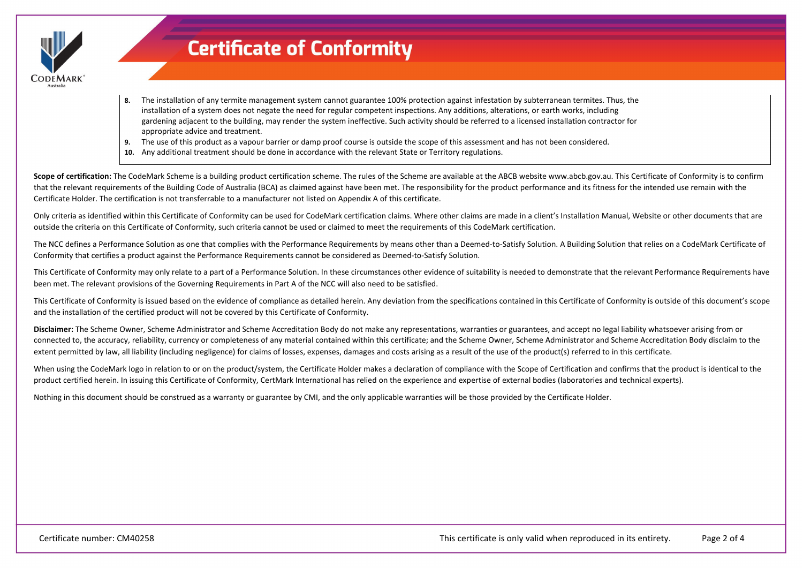

### **Certificate of Conformity**

- **8.** The installation of any termite management system cannot guarantee 100% protection against infestation by subterranean termites. Thus, the installation of a system does not negate the need for regular competent inspections. Any additions, alterations, or earth works, including gardening adjacent to the building, may render the system ineffective. Such activity should be referred to a licensed installation contractor for appropriate advice and treatment.
- **9.** The use of this product as a vapour barrier or damp proof course is outside the scope of this assessment and has not been considered.
- **10.** Any additional treatment should be done in accordance with the relevant State or Territory regulations.

Scope of certification: The CodeMark Scheme is a building product certification scheme. The rules of the Scheme are available at the ABCB website www.abcb.gov.au. This Certificate of Conformity is to confirm that the relevant requirements of the Building Code of Australia (BCA) as claimed against have been met. The responsibility for the product performance and its fitness for the intended use remain with the Certificate Holder. The certification is not transferrable to a manufacturer not listed on Appendix A of this certificate.

Only criteria as identified within this Certificate of Conformity can be used for CodeMark certification claims. Where other claims are made in a client's Installation Manual, Website or other documents that are outside the criteria on this Certificate of Conformity, such criteria cannot be used or claimed to meet the requirements of this CodeMark certification.

The NCC defines a Performance Solution as one that complies with the Performance Requirements by means other than a Deemed-to-Satisfy Solution. A Building Solution that relies on a CodeMark Certificate of Conformity that certifies a product against the Performance Requirements cannot be considered as Deemed-to-Satisfy Solution.

This Certificate of Conformity may only relate to a part of a Performance Solution. In these circumstances other evidence of suitability is needed to demonstrate that the relevant Performance Requirements have been met. The relevant provisions of the Governing Requirements in Part A of the NCC will also need to be satisfied.

This Certificate of Conformity is issued based on the evidence of compliance as detailed herein. Any deviation from the specifications contained in this Certificate of Conformity is outside of this document's scope and the installation of the certified product will not be covered by this Certificate of Conformity.

**Disclaimer:** The Scheme Owner, Scheme Administrator and Scheme Accreditation Body do not make any representations, warranties or guarantees, and accept no legal liability whatsoever arising from or connected to, the accuracy, reliability, currency or completeness of any material contained within this certificate; and the Scheme Owner, Scheme Administrator and Scheme Accreditation Body disclaim to the extent permitted by law, all liability (including negligence) for claims of losses, expenses, damages and costs arising as a result of the use of the product(s) referred to in this certificate.

When using the CodeMark logo in relation to or on the product/system, the Certificate Holder makes a declaration of compliance with the Scope of Certification and confirms that the product is identical to the product certified herein. In issuing this Certificate of Conformity, CertMark International has relied on the experience and expertise of external bodies (laboratories and technical experts).

Nothing in this document should be construed as a warranty or guarantee by CMI, and the only applicable warranties will be those provided by the Certificate Holder.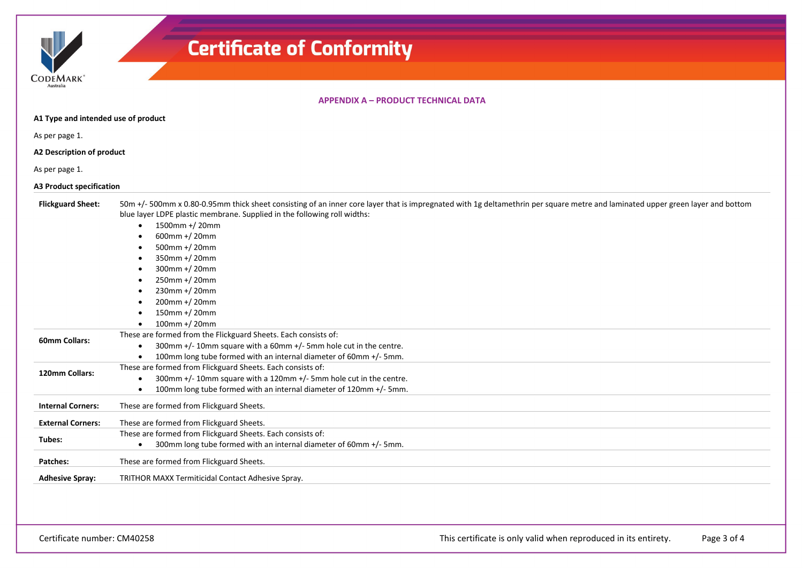| CODEMARK <sup>*</sup> |  |
|-----------------------|--|
| Australia             |  |

 $\overline{1}$ 

# **Certificate of Conformity**

#### **APPENDIX A – PRODUCT TECHNICAL DATA**

| A1 Type and intended use of product |                                                                                                                                                                                                                                                                                                                                                                                                                                                                                                                |  |  |  |  |  |
|-------------------------------------|----------------------------------------------------------------------------------------------------------------------------------------------------------------------------------------------------------------------------------------------------------------------------------------------------------------------------------------------------------------------------------------------------------------------------------------------------------------------------------------------------------------|--|--|--|--|--|
| As per page 1.                      |                                                                                                                                                                                                                                                                                                                                                                                                                                                                                                                |  |  |  |  |  |
| A2 Description of product           |                                                                                                                                                                                                                                                                                                                                                                                                                                                                                                                |  |  |  |  |  |
| As per page 1.                      |                                                                                                                                                                                                                                                                                                                                                                                                                                                                                                                |  |  |  |  |  |
| <b>A3 Product specification</b>     |                                                                                                                                                                                                                                                                                                                                                                                                                                                                                                                |  |  |  |  |  |
| <b>Flickguard Sheet:</b>            | 50m +/- 500mm x 0.80-0.95mm thick sheet consisting of an inner core layer that is impregnated with 1g deltamethrin per square metre and laminated upper green layer and bottom<br>blue layer LDPE plastic membrane. Supplied in the following roll widths:<br>1500mm +/20mm<br>$\bullet$<br>600mm +/20mm<br>500mm +/20mm<br>$\bullet$<br>350mm +/20mm<br>٠<br>300mm +/20mm<br>$\bullet$<br>250mm +/20mm<br>$\bullet$<br>230mm +/20mm<br>$\bullet$<br>200mm +/20mm<br>$\bullet$<br>150mm +/20mm<br>100mm +/20mm |  |  |  |  |  |
| 60mm Collars:                       | These are formed from the Flickguard Sheets. Each consists of:<br>300mm +/- 10mm square with a 60mm +/- 5mm hole cut in the centre.<br>$\bullet$<br>100mm long tube formed with an internal diameter of 60mm +/- 5mm.                                                                                                                                                                                                                                                                                          |  |  |  |  |  |
| 120mm Collars:                      | These are formed from Flickguard Sheets. Each consists of:<br>300mm +/- 10mm square with a 120mm +/- 5mm hole cut in the centre.<br>100mm long tube formed with an internal diameter of 120mm +/- 5mm.<br>$\bullet$                                                                                                                                                                                                                                                                                            |  |  |  |  |  |
| <b>Internal Corners:</b>            | These are formed from Flickguard Sheets.                                                                                                                                                                                                                                                                                                                                                                                                                                                                       |  |  |  |  |  |
| <b>External Corners:</b>            | These are formed from Flickguard Sheets.                                                                                                                                                                                                                                                                                                                                                                                                                                                                       |  |  |  |  |  |
| Tubes:                              | These are formed from Flickguard Sheets. Each consists of:<br>300mm long tube formed with an internal diameter of 60mm +/- 5mm.<br>$\bullet$                                                                                                                                                                                                                                                                                                                                                                   |  |  |  |  |  |
| Patches:                            | These are formed from Flickguard Sheets.                                                                                                                                                                                                                                                                                                                                                                                                                                                                       |  |  |  |  |  |
| <b>Adhesive Spray:</b>              | TRITHOR MAXX Termiticidal Contact Adhesive Spray.                                                                                                                                                                                                                                                                                                                                                                                                                                                              |  |  |  |  |  |